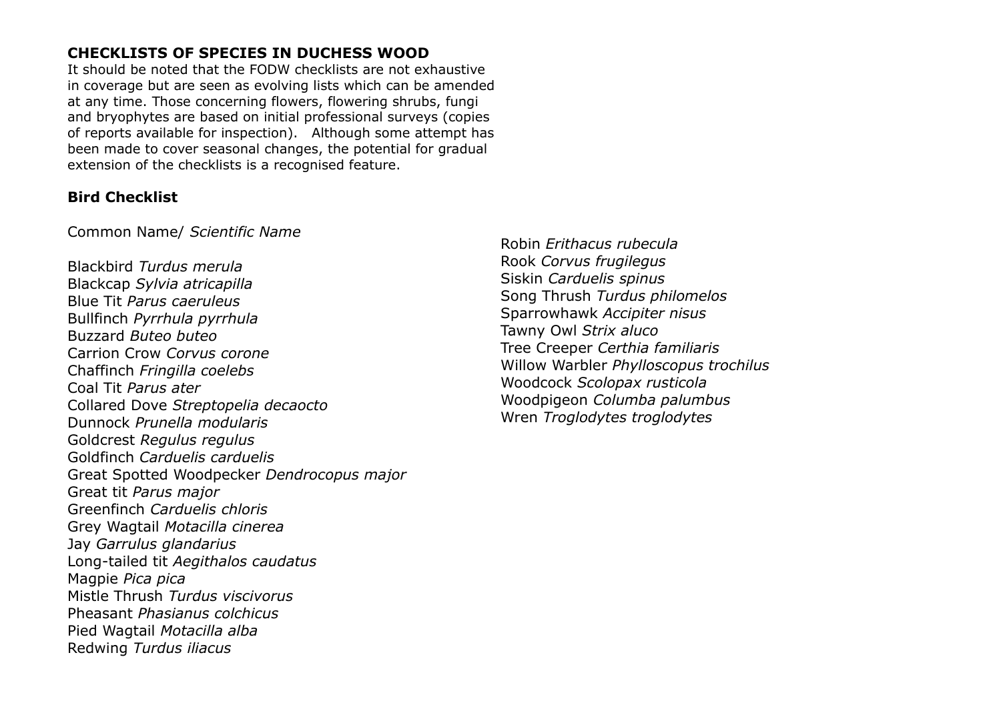# **CHECKLISTS OF SPECIES IN DUCHESS WOOD**

It should be noted that the FODW checklists are not exhaustive in coverage but are seen as evolving lists which can be amended at any time. Those concerning flowers, flowering shrubs, fungi and bryophytes are based on initial professional surveys (copies of reports available for inspection). Although some attempt has been made to cover seasonal changes, the potential for gradual extension of the checklists is a recognised feature.

#### **Bird Checklist**

Common Name/ *Scientific Name*

Blackbird *Turdus merula* Blackcap *Sylvia atricapilla* Blue Tit *Parus caeruleus* Bullfinch *Pyrrhula pyrrhula* Buzzard *Buteo buteo* Carrion Crow *Corvus corone* Chaffinch *Fringilla coelebs* Coal Tit *Parus ater* Collared Dove *Streptopelia decaocto* Dunnock *Prunella modularis* Goldcrest *Regulus regulus* Goldfinch *Carduelis carduelis* Great Spotted Woodpecker *Dendrocopus major* Great tit *Parus major* Greenfinch *Carduelis chloris* Grey Wagtail *Motacilla cinerea* Jay *Garrulus glandarius* Long-tailed tit *Aegithalos caudatus* Magpie *Pica pica* Mistle Thrush *Turdus viscivorus* Pheasant *Phasianus colchicus* Pied Wagtail *Motacilla alba* Redwing *Turdus iliacus*

Robin *Erithacus rubecula* Rook *Corvus frugilegus* Siskin *Carduelis spinus* Song Thrush *Turdus philomelos* Sparrowhawk *Accipiter nisus* Tawny Owl *Strix aluco* Tree Creeper *Certhia familiaris* Willow Warbler *Phylloscopus trochilus* Woodcock *Scolopax rusticola* Woodpigeon *Columba palumbus* Wren *Troglodytes troglodytes*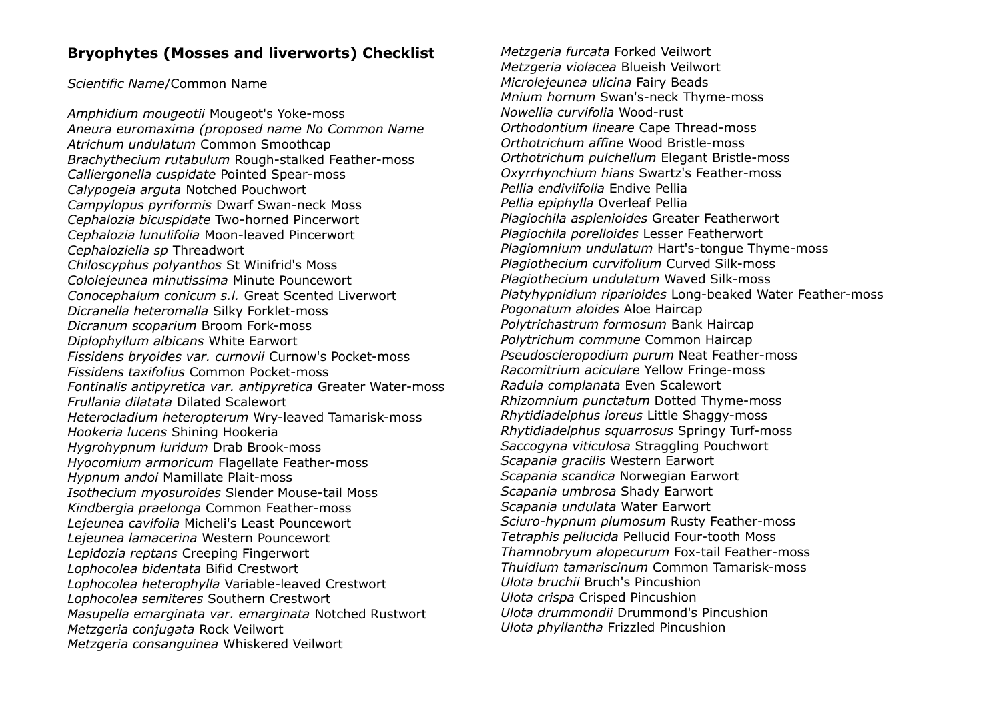### **Bryophytes (Mosses and liverworts) Checklist**

*Scientific Name*/Common Name

*Amphidium mougeotii* Mougeot's Yoke-moss *Aneura euromaxima (proposed name No Common Name Atrichum undulatum* Common Smoothcap *Brachythecium rutabulum* Rough-stalked Feather-moss *Calliergonella cuspidate* Pointed Spear-moss *Calypogeia arguta* Notched Pouchwort *Campylopus pyriformis* Dwarf Swan-neck Moss *Cephalozia bicuspidate* Two-horned Pincerwort *Cephalozia lunulifolia* Moon-leaved Pincerwort *Cephaloziella sp* Threadwort *Chiloscyphus polyanthos* St Winifrid's Moss *Cololejeunea minutissima* Minute Pouncewort *Conocephalum conicum s.l.* Great Scented Liverwort *Dicranella heteromalla* Silky Forklet-moss *Dicranum scoparium* Broom Fork-moss *Diplophyllum albicans* White Earwort *Fissidens bryoides var. curnovii* Curnow's Pocket-moss *Fissidens taxifolius* Common Pocket-moss *Fontinalis antipyretica var. antipyretica* Greater Water-moss *Frullania dilatata* Dilated Scalewort *Heterocladium heteropterum* Wry-leaved Tamarisk-moss *Hookeria lucens* Shining Hookeria *Hygrohypnum luridum* Drab Brook-moss *Hyocomium armoricum* Flagellate Feather-moss *Hypnum andoi* Mamillate Plait-moss *Isothecium myosuroides* Slender Mouse-tail Moss *Kindbergia praelonga* Common Feather-moss *Lejeunea cavifolia* Micheli's Least Pouncewort *Lejeunea lamacerina* Western Pouncewort *Lepidozia reptans* Creeping Fingerwort *Lophocolea bidentata* Bifid Crestwort *Lophocolea heterophylla* Variable-leaved Crestwort *Lophocolea semiteres* Southern Crestwort *Masupella emarginata var. emarginata* Notched Rustwort *Metzgeria conjugata* Rock Veilwort *Metzgeria consanguinea* Whiskered Veilwort

*Metzgeria furcata* Forked Veilwort *Metzgeria violacea* Blueish Veilwort *Microlejeunea ulicina* Fairy Beads *Mnium hornum* Swan's-neck Thyme-moss *Nowellia curvifolia* Wood-rust *Orthodontium lineare* Cape Thread-moss *Orthotrichum affine* Wood Bristle-moss *Orthotrichum pulchellum* Elegant Bristle-moss *Oxyrrhynchium hians* Swartz's Feather-moss *Pellia endiviifolia* Endive Pellia *Pellia epiphylla* Overleaf Pellia *Plagiochila asplenioides* Greater Featherwort *Plagiochila porelloides* Lesser Featherwort *Plagiomnium undulatum* Hart's-tongue Thyme-moss *Plagiothecium curvifolium* Curved Silk-moss *Plagiothecium undulatum* Waved Silk-moss *Platyhypnidium riparioides* Long-beaked Water Feather-moss *Pogonatum aloides* Aloe Haircap *Polytrichastrum formosum* Bank Haircap *Polytrichum commune* Common Haircap *Pseudoscleropodium purum* Neat Feather-moss *Racomitrium aciculare* Yellow Fringe-moss *Radula complanata* Even Scalewort *Rhizomnium punctatum* Dotted Thyme-moss *Rhytidiadelphus loreus* Little Shaggy-moss *Rhytidiadelphus squarrosus* Springy Turf-moss *Saccogyna viticulosa* Straggling Pouchwort *Scapania gracilis* Western Earwort *Scapania scandica* Norwegian Earwort *Scapania umbrosa* Shady Earwort *Scapania undulata* Water Earwort *Sciuro-hypnum plumosum* Rusty Feather-moss *Tetraphis pellucida* Pellucid Four-tooth Moss *Thamnobryum alopecurum* Fox-tail Feather-moss *Thuidium tamariscinum* Common Tamarisk-moss *Ulota bruchii* Bruch's Pincushion *Ulota crispa* Crisped Pincushion *Ulota drummondii* Drummond's Pincushion *Ulota phyllantha* Frizzled Pincushion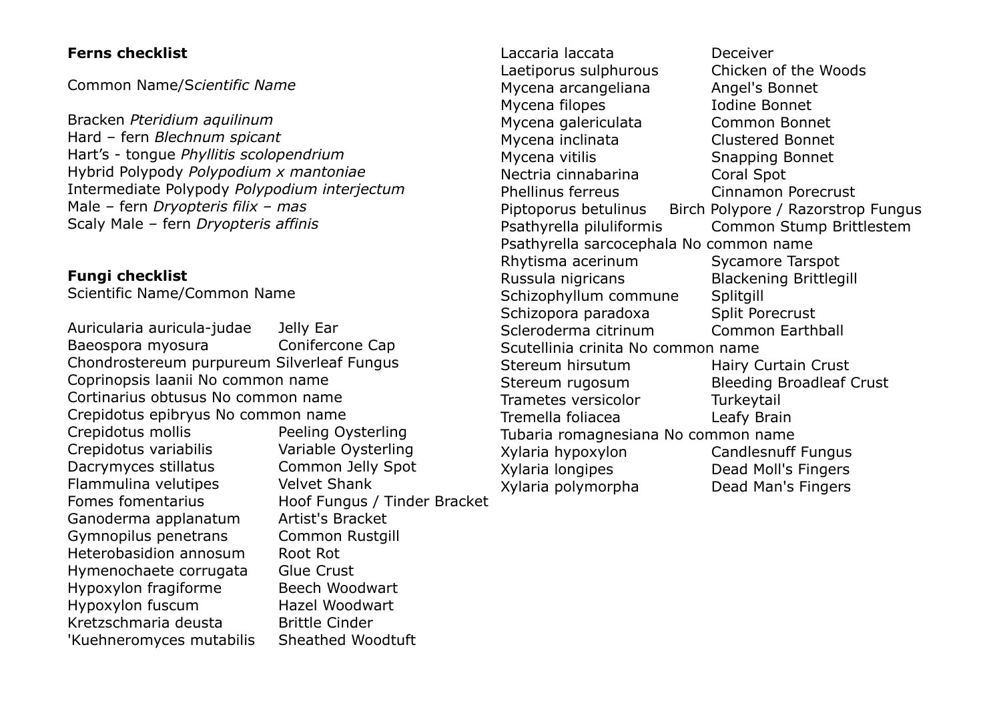### **Ferns checklist**

Common Name/S*cientific Name*

Bracken *Pteridium aquilinum* Hard – fern *Blechnum spicant* Hart's - tongue *Phyllitis scolopendrium* Hybrid Polypody *Polypodium x mantoniae* Intermediate Polypody *Polypodium interjectum* Male – fern *Dryopteris filix – mas* Scaly Male – fern *Dryopteris affinis*

## **Fungi checklist**

Scientific Name/Common Name

Auricularia auricula-judae Jelly Ear Baeospora myosura Conifercone Cap Chondrostereum purpureum Silverleaf Fungus Coprinopsis laanii No common name Cortinarius obtusus No common name Crepidotus epibryus No common name Crepidotus mollis Peeling Oysterling Crepidotus variabilis Variable Oysterling Dacrymyces stillatus Common Jelly Spot Flammulina velutipes Velvet Shank Fomes fomentarius Hoof Fungus / Tinder Bracket Ganoderma applanatum Artist's Bracket Gymnopilus penetrans Common Rustgill Heterobasidion annosum Root Rot Hymenochaete corrugata Glue Crust Hypoxylon fragiforme Beech Woodwart Hypoxylon fuscum Hazel Woodwart Kretzschmaria deusta Brittle Cinder 'Kuehneromyces mutabilis Sheathed Woodtuft

Laccaria laccata Deceiver Laetiporus sulphurous Chicken of the Woods Mycena arcangeliana **Angel's Bonnet** Mycena filopes **Internal Indiana Bonnet** Mycena galericulata Common Bonnet Mycena inclinata Clustered Bonnet Mycena vitilis Snapping Bonnet Nectria cinnabarina Coral Spot Phellinus ferreus Cinnamon Porecrust Piptoporus betulinus Birch Polypore / Razorstrop Fungus Psathyrella piluliformis Common Stump Brittlestem Psathyrella sarcocephala No common name Rhytisma acerinum Sycamore Tarspot Russula nigricans Blackening Brittlegill Schizophyllum commune Splitgill Schizopora paradoxa Split Porecrust Scleroderma citrinum Common Earthball Scutellinia crinita No common name Stereum hirsutum Hairy Curtain Crust Stereum rugosum Bleeding Broadleaf Crust Trametes versicolor Turkeytail Tremella foliacea Leafy Brain Tubaria romagnesiana No common name Xylaria hypoxylon Candlesnuff Fungus Xylaria longipes Dead Moll's Fingers Xylaria polymorpha Dead Man's Fingers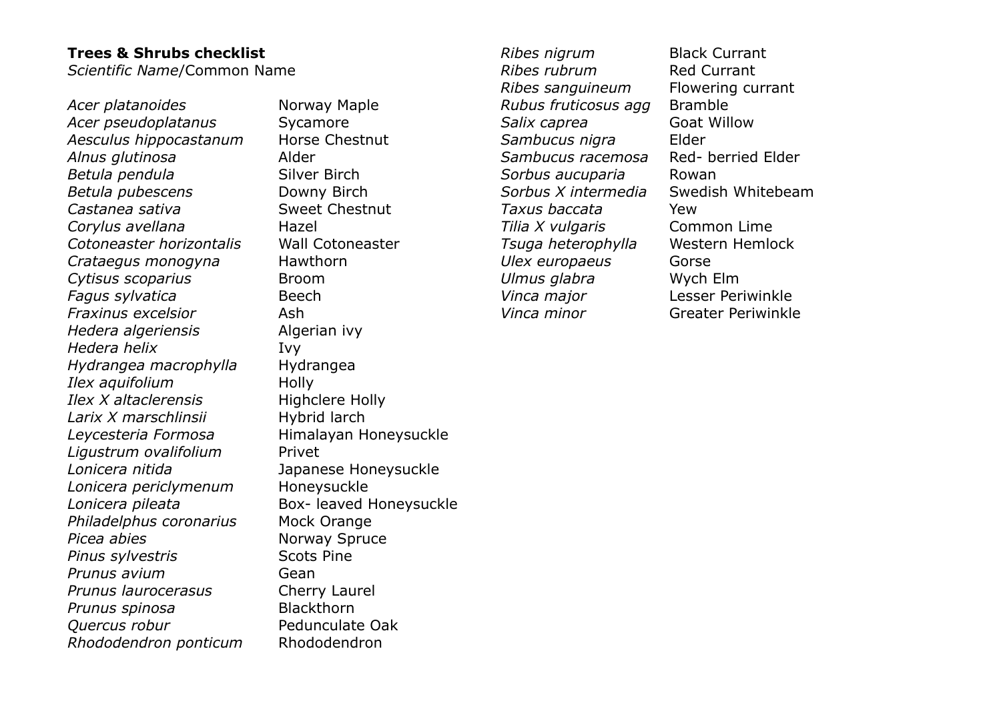### **Trees & Shrubs checklist**

*Scientific Name*/Common Name

Acer platanoides **Norway Maple** Acer *pseudoplatanus* Sycamore *Aesculus hippocastanum* Horse Chestnut *Alnus glutinosa* Alder *Betula pendula* Silver Birch *Betula pubescens* **Downy Birch** *Castanea sativa* Sweet Chestnut *Corylus avellana* Hazel *Cotoneaster horizontalis* Wall Cotoneaster *Crataegus monogyna* Hawthorn *Cytisus scoparius* Broom *Fagus sylvatica* Beech *Fraxinus excelsior* Ash *Hedera algeriensis* Algerian ivy *Hedera helix* Ivy *Hydrangea macrophylla* Hydrangea *Ilex aquifolium* **Holly** *Ilex X altaclerensis* Highclere Holly *Larix X marschlinsii* Hybrid larch *Leycesteria Formosa* Himalayan Honeysuckle *Ligustrum ovalifolium* Privet *Lonicera nitida* Japanese Honeysuckle *Lonicera periclymenum* Honeysuckle *Lonicera pileata* Box- leaved Honeysuckle *Philadelphus coronarius* Mock Orange *Picea abies* **Norway Spruce Pinus sylvestris** Scots Pine *Prunus avium* Gean *Prunus laurocerasus* Cherry Laurel *Prunus spinosa* Blackthorn *Quercus robur* Pedunculate Oak *Rhododendron ponticum* Rhododendron

*Ribes nigrum* Black Currant *Ribes rubrum* **Red Currant** *Ribes sanguineum* Flowering currant *Rubus fruticosus agg* Bramble **Salix caprea 60 Goat Willow** *Sambucus nigra* Elder *Sambucus racemosa* Red- berried Elder *Sorbus aucuparia* Rowan *Sorbus X intermedia* Swedish Whitebeam *Taxus baccata* Yew *Tilia X vulgaris* Common Lime *Tsuga heterophylla* Western Hemlock *Ulex europaeus* Gorse *Ulmus glabra* Wych Elm *Vinca major* Lesser Periwinkle *Vinca minor* Greater Periwinkle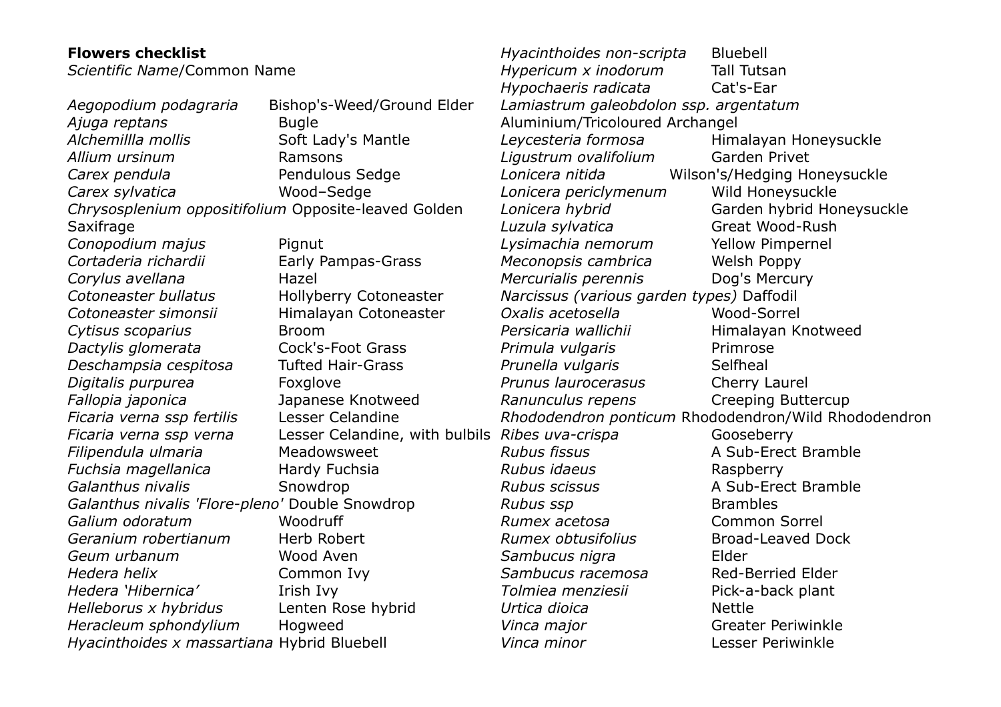| <b>Flowers checklist</b>                             |                                                 | Hyacinthoides non-scripta                            | <b>Bluebell</b>              |
|------------------------------------------------------|-------------------------------------------------|------------------------------------------------------|------------------------------|
| Scientific Name/Common Name                          |                                                 | Hypericum x inodorum                                 | <b>Tall Tutsan</b>           |
|                                                      |                                                 | Hypochaeris radicata                                 | Cat's-Ear                    |
| Aegopodium podagraria                                | Bishop's-Weed/Ground Elder                      | Lamiastrum galeobdolon ssp. argentatum               |                              |
| Ajuga reptans                                        | <b>Bugle</b>                                    | Aluminium/Tricoloured Archangel                      |                              |
| Alchemillla mollis                                   | Soft Lady's Mantle                              | Leycesteria formosa                                  | Himalayan Honeysuckle        |
| Allium ursinum                                       | Ramsons                                         | Ligustrum ovalifolium                                | Garden Privet                |
| Carex pendula                                        | Pendulous Sedge                                 | Lonicera nitida                                      | Wilson's/Hedging Honeysuckle |
| Carex sylvatica                                      | Wood-Sedge                                      | Lonicera periclymenum                                | Wild Honeysuckle             |
| Chrysosplenium oppositifolium Opposite-leaved Golden |                                                 | Lonicera hybrid                                      | Garden hybrid Honeysuckle    |
| Saxifrage                                            |                                                 | Luzula sylvatica                                     | Great Wood-Rush              |
| Conopodium majus                                     | Pignut                                          | Lysimachia nemorum                                   | <b>Yellow Pimpernel</b>      |
| Cortaderia richardii                                 | Early Pampas-Grass                              | Meconopsis cambrica                                  | Welsh Poppy                  |
| Corylus avellana                                     | Hazel                                           | Mercurialis perennis                                 | Dog's Mercury                |
| Cotoneaster bullatus                                 | Hollyberry Cotoneaster                          | Narcissus (various garden types) Daffodil            |                              |
| Cotoneaster simonsii                                 | Himalayan Cotoneaster                           | Oxalis acetosella                                    | Wood-Sorrel                  |
| Cytisus scoparius                                    | <b>Broom</b>                                    | Persicaria wallichii                                 | Himalayan Knotweed           |
| Dactylis glomerata                                   | <b>Cock's-Foot Grass</b>                        | Primula vulgaris                                     | Primrose                     |
| Deschampsia cespitosa                                | <b>Tufted Hair-Grass</b>                        | Prunella vulgaris                                    | Selfheal                     |
| Digitalis purpurea                                   | Foxglove                                        | Prunus laurocerasus                                  | Cherry Laurel                |
| Fallopia japonica                                    | Japanese Knotweed                               | Ranunculus repens                                    | <b>Creeping Buttercup</b>    |
| Ficaria verna ssp fertilis                           | Lesser Celandine                                | Rhododendron ponticum Rhododendron/Wild Rhododendron |                              |
| Ficaria verna ssp verna                              | Lesser Celandine, with bulbils Ribes uva-crispa |                                                      | Gooseberry                   |
| Filipendula ulmaria                                  | Meadowsweet                                     | <b>Rubus fissus</b>                                  | A Sub-Erect Bramble          |
| Fuchsia magellanica                                  | Hardy Fuchsia                                   | Rubus idaeus                                         | Raspberry                    |
| Galanthus nivalis                                    | Snowdrop                                        | <b>Rubus scissus</b>                                 | A Sub-Erect Bramble          |
| Galanthus nivalis 'Flore-pleno' Double Snowdrop      |                                                 | Rubus ssp                                            | <b>Brambles</b>              |
| Galium odoratum                                      | Woodruff                                        | Rumex acetosa                                        | <b>Common Sorrel</b>         |
| Geranium robertianum                                 | Herb Robert                                     | Rumex obtusifolius                                   | <b>Broad-Leaved Dock</b>     |
| Geum urbanum                                         | Wood Aven                                       | Sambucus nigra                                       | Elder                        |
| Hedera helix                                         | Common Ivy                                      | Sambucus racemosa                                    | <b>Red-Berried Elder</b>     |
| Hedera 'Hibernica'                                   | Irish Ivy                                       | Tolmiea menziesii                                    | Pick-a-back plant            |
| Helleborus x hybridus                                | Lenten Rose hybrid                              | Urtica dioica                                        | <b>Nettle</b>                |
| Heracleum sphondylium                                | Hogweed                                         | Vinca major                                          | <b>Greater Periwinkle</b>    |
| Hyacinthoides x massartiana Hybrid Bluebell          |                                                 | Vinca minor                                          | Lesser Periwinkle            |